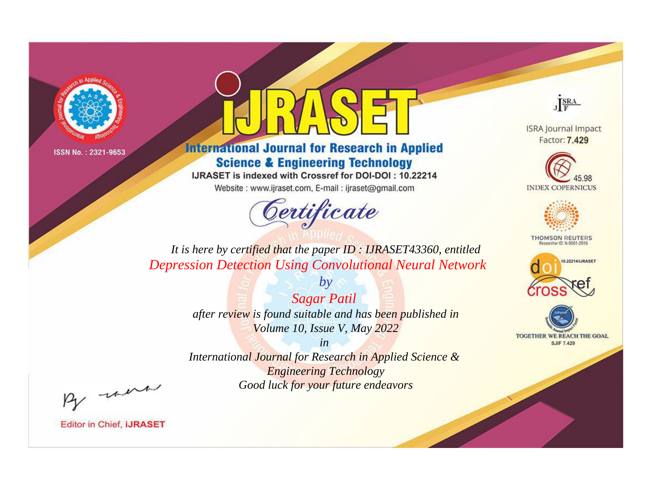



**International Journal for Research in Applied Science & Engineering Technology** 

IJRASET is indexed with Crossref for DOI-DOI: 10.22214

Website: www.ijraset.com, E-mail: ijraset@gmail.com



JERA

**ISRA Journal Impact** Factor: 7.429





**THOMSON REUTERS** 



TOGETHER WE REACH THE GOAL **SJIF 7.429** 

*It is here by certified that the paper ID : IJRASET43360, entitled Depression Detection Using Convolutional Neural Network*

> *Sagar Patil after review is found suitable and has been published in Volume 10, Issue V, May 2022*

*by*

*in* 

*International Journal for Research in Applied Science & Engineering Technology Good luck for your future endeavors*

By morn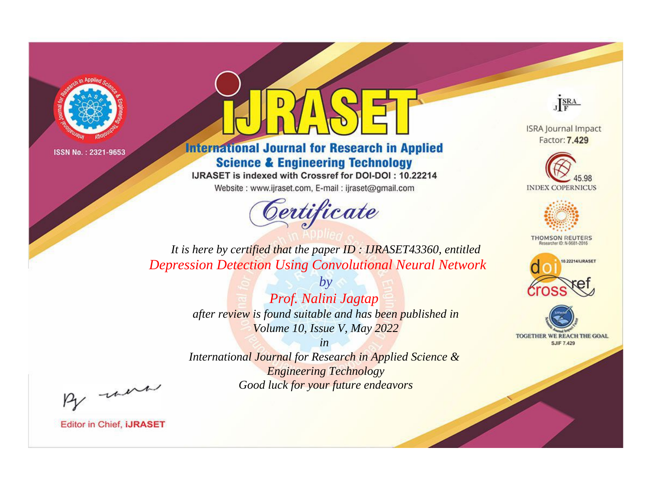



**International Journal for Research in Applied Science & Engineering Technology** 

IJRASET is indexed with Crossref for DOI-DOI: 10.22214

Website: www.ijraset.com, E-mail: ijraset@gmail.com



JERA

**ISRA Journal Impact** Factor: 7.429





**THOMSON REUTERS** 



TOGETHER WE REACH THE GOAL **SJIF 7.429** 

*It is here by certified that the paper ID : IJRASET43360, entitled Depression Detection Using Convolutional Neural Network*

> *by Prof. Nalini Jagtap after review is found suitable and has been published in Volume 10, Issue V, May 2022*

> > *in*

*International Journal for Research in Applied Science & Engineering Technology Good luck for your future endeavors*

By morn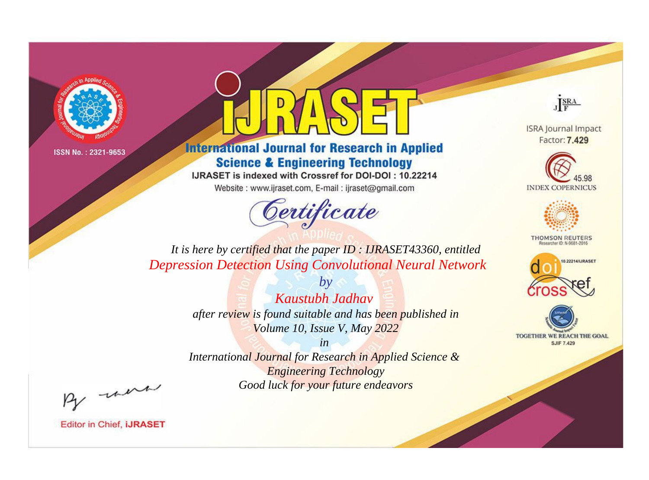



**International Journal for Research in Applied Science & Engineering Technology** 

IJRASET is indexed with Crossref for DOI-DOI: 10.22214

Website: www.ijraset.com, E-mail: ijraset@gmail.com



JERA

**ISRA Journal Impact** Factor: 7.429





**THOMSON REUTERS** 



TOGETHER WE REACH THE GOAL **SJIF 7.429** 

*It is here by certified that the paper ID : IJRASET43360, entitled Depression Detection Using Convolutional Neural Network*

> *by Kaustubh Jadhav after review is found suitable and has been published in Volume 10, Issue V, May 2022*

> > *in*

*International Journal for Research in Applied Science & Engineering Technology Good luck for your future endeavors*

By morn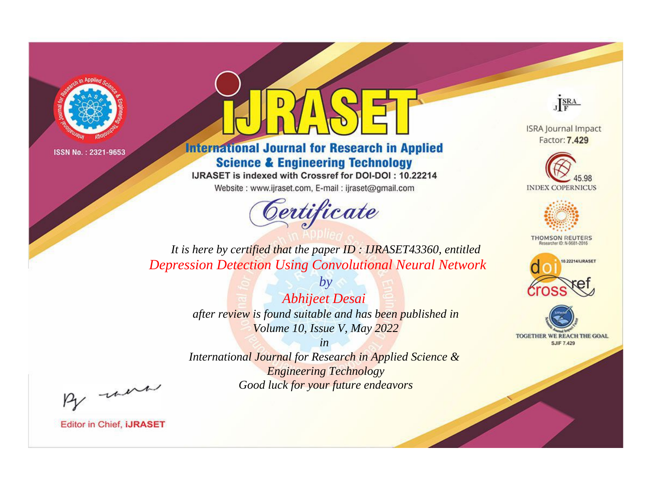



**International Journal for Research in Applied Science & Engineering Technology** 

IJRASET is indexed with Crossref for DOI-DOI: 10.22214

Website: www.ijraset.com, E-mail: ijraset@gmail.com



JERA

**ISRA Journal Impact** Factor: 7.429





**THOMSON REUTERS** 



TOGETHER WE REACH THE GOAL **SJIF 7.429** 

*It is here by certified that the paper ID : IJRASET43360, entitled Depression Detection Using Convolutional Neural Network*

> *by Abhijeet Desai after review is found suitable and has been published in Volume 10, Issue V, May 2022*

> > *in*

*International Journal for Research in Applied Science & Engineering Technology Good luck for your future endeavors*

By morn